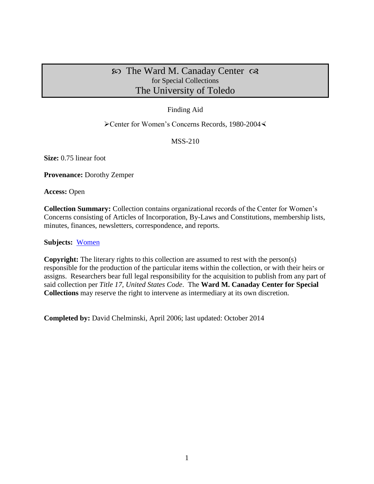# $\infty$  The Ward M. Canaday Center  $\infty$ for Special Collections The University of Toledo

# Finding Aid

## Center for Women's Concerns Records, 1980-2004

# MSS-210

**Size:** 0.75 linear foot

**Provenance:** Dorothy Zemper

**Access:** Open

**Collection Summary:** Collection contains organizational records of the Center for Women's Concerns consisting of Articles of Incorporation, By-Laws and Constitutions, membership lists, minutes, finances, newsletters, correspondence, and reports.

**Subjects:** [Women](http://www.utoledo.edu/library/canaday/guidepages/women.html)

**Copyright:** The literary rights to this collection are assumed to rest with the person(s) responsible for the production of the particular items within the collection, or with their heirs or assigns. Researchers bear full legal responsibility for the acquisition to publish from any part of said collection per *Title 17, United States Code*. The **Ward M. Canaday Center for Special Collections** may reserve the right to intervene as intermediary at its own discretion.

**Completed by:** David Chelminski, April 2006; last updated: October 2014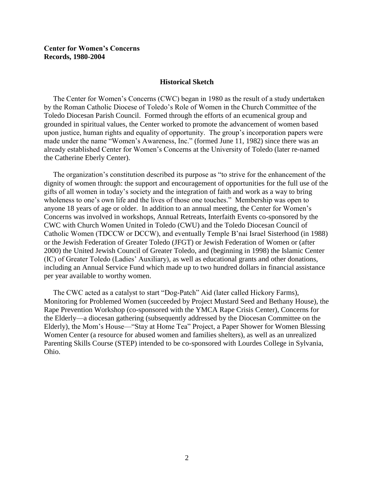#### **Center for Women's Concerns Records, 1980-2004**

#### **Historical Sketch**

 The Center for Women's Concerns (CWC) began in 1980 as the result of a study undertaken by the Roman Catholic Diocese of Toledo's Role of Women in the Church Committee of the Toledo Diocesan Parish Council. Formed through the efforts of an ecumenical group and grounded in spiritual values, the Center worked to promote the advancement of women based upon justice, human rights and equality of opportunity. The group's incorporation papers were made under the name "Women's Awareness, Inc." (formed June 11, 1982) since there was an already established Center for Women's Concerns at the University of Toledo (later re-named the Catherine Eberly Center).

 The organization's constitution described its purpose as "to strive for the enhancement of the dignity of women through: the support and encouragement of opportunities for the full use of the gifts of all women in today's society and the integration of faith and work as a way to bring wholeness to one's own life and the lives of those one touches." Membership was open to anyone 18 years of age or older. In addition to an annual meeting, the Center for Women's Concerns was involved in workshops, Annual Retreats, Interfaith Events co-sponsored by the CWC with Church Women United in Toledo (CWU) and the Toledo Diocesan Council of Catholic Women (TDCCW or DCCW), and eventually Temple B'nai Israel Sisterhood (in 1988) or the Jewish Federation of Greater Toledo (JFGT) or Jewish Federation of Women or (after 2000) the United Jewish Council of Greater Toledo, and (beginning in 1998) the Islamic Center (IC) of Greater Toledo (Ladies' Auxiliary), as well as educational grants and other donations, including an Annual Service Fund which made up to two hundred dollars in financial assistance per year available to worthy women.

 The CWC acted as a catalyst to start "Dog-Patch" Aid (later called Hickory Farms), Monitoring for Problemed Women (succeeded by Project Mustard Seed and Bethany House), the Rape Prevention Workshop (co-sponsored with the YMCA Rape Crisis Center), Concerns for the Elderly—a diocesan gathering (subsequently addressed by the Diocesan Committee on the Elderly), the Mom's House—"Stay at Home Tea" Project, a Paper Shower for Women Blessing Women Center (a resource for abused women and families shelters), as well as an unrealized Parenting Skills Course (STEP) intended to be co-sponsored with Lourdes College in Sylvania, Ohio.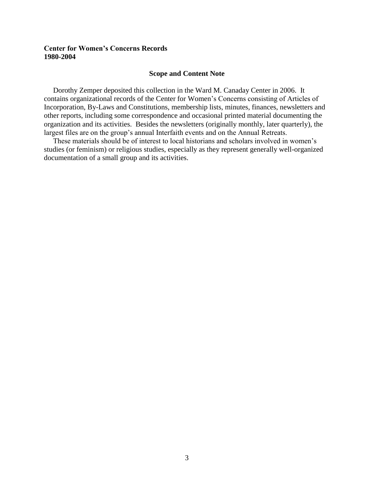## **Center for Women's Concerns Records 1980-2004**

#### **Scope and Content Note**

 Dorothy Zemper deposited this collection in the Ward M. Canaday Center in 2006. It contains organizational records of the Center for Women's Concerns consisting of Articles of Incorporation, By-Laws and Constitutions, membership lists, minutes, finances, newsletters and other reports, including some correspondence and occasional printed material documenting the organization and its activities. Besides the newsletters (originally monthly, later quarterly), the largest files are on the group's annual Interfaith events and on the Annual Retreats.

 These materials should be of interest to local historians and scholars involved in women's studies (or feminism) or religious studies, especially as they represent generally well-organized documentation of a small group and its activities.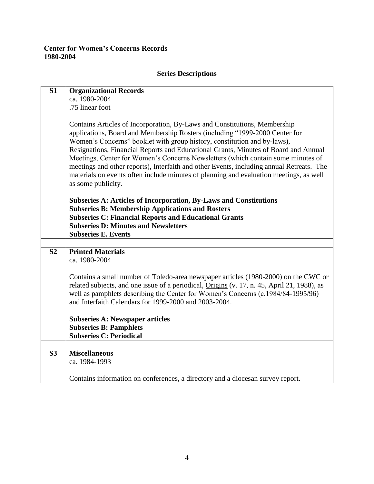# **Center for Women's Concerns Records 1980-2004**

# **S1 Organizational Records** ca. 1980-2004 .75 linear foot Contains Articles of Incorporation, By-Laws and Constitutions, Membership applications, Board and Membership Rosters (including "1999-2000 Center for Women's Concerns" booklet with group history, constitution and by-laws), Resignations, Financial Reports and Educational Grants, Minutes of Board and Annual Meetings, Center for Women's Concerns Newsletters (which contain some minutes of meetings and other reports), Interfaith and other Events, including annual Retreats. The materials on events often include minutes of planning and evaluation meetings, as well as some publicity. **Subseries A: Articles of Incorporation, By-Laws and Constitutions Subseries B: Membership Applications and Rosters Subseries C: Financial Reports and Educational Grants Subseries D: Minutes and Newsletters Subseries E. Events S2 Printed Materials** ca. 1980-2004 Contains a small number of Toledo-area newspaper articles (1980-2000) on the CWC or related subjects, and one issue of a periodical, Origins (v. 17, n. 45, April 21, 1988), as well as pamphlets describing the Center for Women's Concerns (c.1984/84-1995/96) and Interfaith Calendars for 1999-2000 and 2003-2004. **Subseries A: Newspaper articles Subseries B: Pamphlets Subseries C: Periodical S3 Miscellaneous** ca. 1984-1993 Contains information on conferences, a directory and a diocesan survey report.

### **Series Descriptions**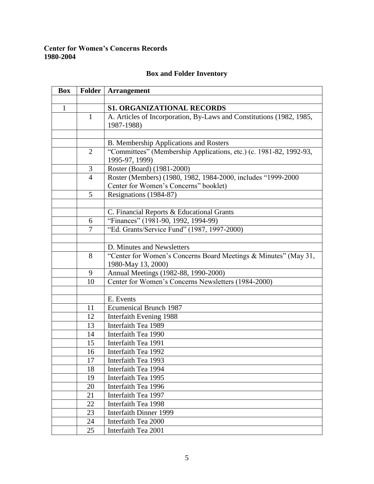# **Center for Women's Concerns Records 1980-2004**

# **Box and Folder Inventory**

| <b>Box</b>   | <b>Folder</b>  | <b>Arrangement</b>                                                                                    |
|--------------|----------------|-------------------------------------------------------------------------------------------------------|
|              |                |                                                                                                       |
| $\mathbf{1}$ |                | <b>S1. ORGANIZATIONAL RECORDS</b>                                                                     |
|              | $\mathbf{1}$   | A. Articles of Incorporation, By-Laws and Constitutions (1982, 1985,<br>1987-1988)                    |
|              |                |                                                                                                       |
|              |                | B. Membership Applications and Rosters                                                                |
|              | $\overline{2}$ | "Committees" (Membership Applications, etc.) (c. 1981-82, 1992-93,<br>1995-97, 1999)                  |
|              | 3              | Roster (Board) (1981-2000)                                                                            |
|              | $\overline{4}$ | Roster (Members) (1980, 1982, 1984-2000, includes "1999-2000<br>Center for Women's Concerns" booklet) |
|              | 5              | Resignations (1984-87)                                                                                |
|              |                |                                                                                                       |
|              |                | C. Financial Reports & Educational Grants                                                             |
|              | 6              | "Finances" (1981-90, 1992, 1994-99)                                                                   |
|              | 7              | "Ed. Grants/Service Fund" (1987, 1997-2000)                                                           |
|              |                |                                                                                                       |
|              |                | D. Minutes and Newsletters                                                                            |
|              | 8              | "Center for Women's Concerns Board Meetings & Minutes" (May 31,                                       |
|              |                | 1980-May 13, 2000)                                                                                    |
|              | 9              | Annual Meetings (1982-88, 1990-2000)                                                                  |
|              | 10             | Center for Women's Concerns Newsletters (1984-2000)                                                   |
|              |                |                                                                                                       |
|              |                | E. Events                                                                                             |
|              | 11             | <b>Ecumenical Brunch 1987</b>                                                                         |
|              | 12             | <b>Interfaith Evening 1988</b>                                                                        |
|              | 13             | Interfaith Tea 1989                                                                                   |
|              | 14             | Interfaith Tea 1990                                                                                   |
|              | 15             | Interfaith Tea 1991                                                                                   |
|              | 16             | Interfaith Tea 1992                                                                                   |
|              | 17             | Interfaith Tea 1993                                                                                   |
|              | 18             | Interfaith Tea 1994                                                                                   |
|              | 19             | Interfaith Tea 1995                                                                                   |
|              | 20             | Interfaith Tea 1996                                                                                   |
|              | 21             | Interfaith Tea 1997                                                                                   |
|              | 22             | Interfaith Tea 1998                                                                                   |
|              | 23             | <b>Interfaith Dinner 1999</b>                                                                         |
|              | 24             | Interfaith Tea 2000                                                                                   |
|              | 25             | Interfaith Tea 2001                                                                                   |